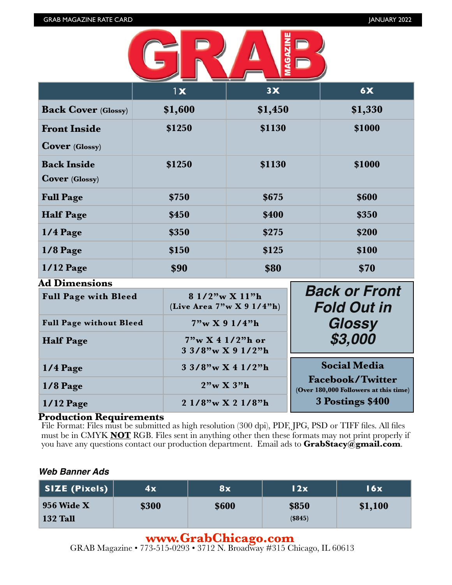

|                                              | 1x      | 3X      | 6X      |
|----------------------------------------------|---------|---------|---------|
| <b>Back Cover (Glossy)</b>                   | \$1,600 | \$1,450 | \$1,330 |
| <b>Front Inside</b><br><b>Cover</b> (Glossy) | \$1250  | \$1130  | \$1000  |
| <b>Back Inside</b><br><b>Cover</b> (Glossy)  | \$1250  | \$1130  | \$1000  |
| <b>Full Page</b>                             | \$750   | \$675   | \$600   |
| <b>Half Page</b>                             | \$450   | \$400   | \$350   |
| $1/4$ Page                                   | \$350   | \$275   | \$200   |
| $1/8$ Page                                   | \$150   | \$125   | \$100   |
| <b>1/12 Page</b><br>$\Delta$ Dimensional     | \$90    | \$80    | \$70    |

| Au Dhhensions                  |                                                |                                                                  |
|--------------------------------|------------------------------------------------|------------------------------------------------------------------|
| <b>Full Page with Bleed</b>    | 8 1/2"w X 11"h<br>(Live Area $7"w X 9 1/4"h$ ) | <b>Back or Front</b><br><b>Fold Out in</b>                       |
| <b>Full Page without Bleed</b> | 7"w X 9 1/4"h                                  | Glossy                                                           |
| <b>Half Page</b>               | 7"w X 4 1/2"h or<br>$33/8$ "w X 9 1/2"h        | \$3,000                                                          |
| $1/4$ Page                     | $33/8$ "w X 4 1/2"h                            | <b>Social Media</b>                                              |
| $1/8$ Page                     | $2"\text{w}$ X $3"\text{h}$                    | <b>Facebook/Twitter</b><br>(Over 180,000 Followers at this time) |
| $1/12$ Page                    | $21/8$ "w X 2 $1/8$ "h                         | 3 Postings \$400                                                 |

### **Production Requirements**

File Format: Files must be submitted as high resolution (300 dpi), PDF, JPG, PSD or TIFF files. All files must be in CMYK **NOT** RGB. Files sent in anything other then these formats may not print properly if you have any questions contact our production department. Email ads to **[GrabStacy@gmail.com](mailto:GrabStacy@gmail.com)**.

### *Web Banner Ads*

| SIZE (Pixels)                        | 4x    | 8x    | 12x              | 16x     |
|--------------------------------------|-------|-------|------------------|---------|
| <b>956 Wide X</b><br><b>132 Tall</b> | \$300 | \$600 | \$850<br>(\$845) | \$1,100 |

## **[www.GrabChicago.com](http://www.GrabChicago.com)**

GRAB Magazine • 7[73-515-0293 • 3712 N. Broadway #315 Ch](http://www.GrabChicago.com)icago, IL 60613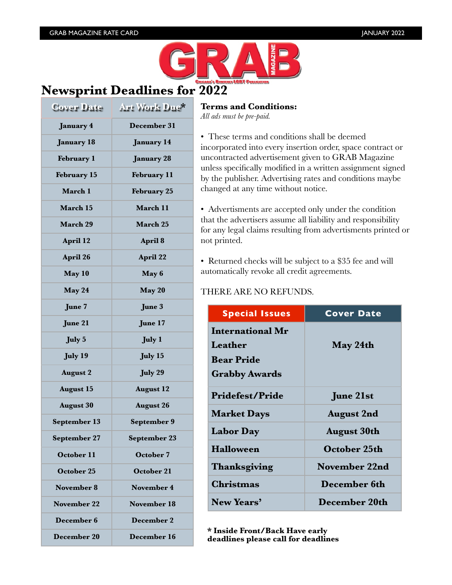

# **Newsprint Deadlines for 2022**

| Cover Date         | Art Work Due*      |
|--------------------|--------------------|
| <b>January 4</b>   | December 31        |
| <b>January 18</b>  | <b>January 14</b>  |
| <b>February 1</b>  | <b>January 28</b>  |
| <b>February 15</b> | <b>February 11</b> |
| March 1            | <b>February 25</b> |
| March 15           | March 11           |
| March 29           | <b>March 25</b>    |
| April 12           | April 8            |
| April 26           | <b>April 22</b>    |
| May 10             | May 6              |
| May 24             | May 20             |
| June 7             | June 3             |
| June 21            | June 17            |
| <b>July 5</b>      | <b>July 1</b>      |
| <b>July 19</b>     | <b>July 15</b>     |
| <b>August 2</b>    | <b>July 29</b>     |
| <b>August 15</b>   | <b>August 12</b>   |
| <b>August 30</b>   | <b>August 26</b>   |
| September 13       | September 9        |
| September 27       | September 23       |
| October 11         | October 7          |
| October 25         | October 21         |
| <b>November 8</b>  | <b>November 4</b>  |
| <b>November 22</b> | November 18        |
| December 6         | <b>December 2</b>  |
| December 20        | December 16        |

### **Terms and Conditions:**

*All ads must be pre-paid.*

• These terms and conditions shall be deemed incorporated into every insertion order, space contract or uncontracted advertisement given to GRAB Magazine unless specifically modified in a written assignment signed by the publisher. Advertising rates and conditions maybe changed at any time without notice.

• Advertisments are accepted only under the condition that the advertisers assume all liability and responsibility for any legal claims resulting from advertisments printed or not printed.

• Returned checks will be subject to a \$35 fee and will automatically revoke all credit agreements.

### THERE ARE NO REFUNDS.

| <b>Special Issues</b>   | <b>Cover Date</b>  |
|-------------------------|--------------------|
| <b>International Mr</b> |                    |
| Leather                 | May 24th           |
| <b>Bear Pride</b>       |                    |
| <b>Grabby Awards</b>    |                    |
| <b>Pridefest/Pride</b>  | <b>June 21st</b>   |
| <b>Market Days</b>      | <b>August 2nd</b>  |
| <b>Labor Day</b>        | <b>August 30th</b> |
| <b>Halloween</b>        | October 25th       |
| Thanksgiving            | November 22nd      |
| Christmas               | December 6th       |
| New Years'              | December 20th      |

**\* Inside Front/Back Have early deadlines please call for deadlines**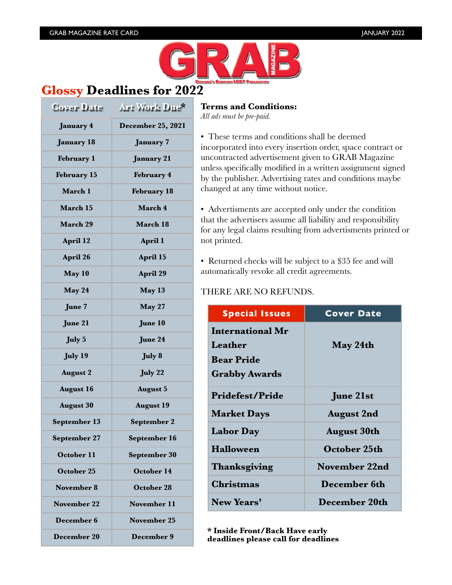

## **Glossy Deadlines for 2022**

| Cover Date          | Art Work Due*      |
|---------------------|--------------------|
| January 4           | December 25, 2021  |
| <b>January 18</b>   | <b>January 7</b>   |
| <b>February 1</b>   | <b>January 21</b>  |
| <b>February 15</b>  | February 4         |
| March 1             | <b>February 18</b> |
| March 15            | March 4            |
| <b>March 29</b>     | March 18           |
| April 12            | April 1            |
| April 26            | April 15           |
| May 10              | April 29           |
| May 24              | May 13             |
| June 7              | May 27             |
| June 21             | June 10            |
| <b>July 5</b>       | June 24            |
| July 19             | July 8             |
| <b>August 2</b>     | <b>July 22</b>     |
| <b>August 16</b>    | <b>August 5</b>    |
| <b>August 30</b>    | <b>August 19</b>   |
| <b>September 13</b> | <b>September 2</b> |
| September 27        | September 16       |
| October 11          | September 30       |
| October 25          | October 14         |
| November 8          | October 28         |
| <b>November 22</b>  | November 11        |
| December 6          | November 25        |
| December 20         | December 9         |

## **Terms and Conditions:**

*All ads must be pre-paid.*

• These terms and conditions shall be deemed incorporated into every insertion order, space contract or uncontracted advertisement given to GRAB Magazine unless specifically modified in a written assignment signed by the publisher. Advertising rates and conditions maybe changed at any time without notice.

• Advertisments are accepted only under the condition that the advertisers assume all liability and responsibility for any legal claims resulting from advertisments printed or not printed.

• Returned checks will be subject to a \$35 fee and will automatically revoke all credit agreements.

### THERE ARE NO REFUNDS.

| <b>Special Issues</b>   | <b>Cover Date</b>  |
|-------------------------|--------------------|
| <b>International Mr</b> |                    |
| Leather                 | May 24th           |
| <b>Bear Pride</b>       |                    |
| <b>Grabby Awards</b>    |                    |
| <b>Pridefest/Pride</b>  | <b>June 21st</b>   |
| <b>Market Days</b>      | <b>August 2nd</b>  |
| <b>Labor Day</b>        | <b>August 30th</b> |
| <b>Halloween</b>        | October 25th       |
| Thanksgiving            | November 22nd      |
| Christmas               | December 6th       |
| New Years'              | December 20th      |

**\* Inside Front/Back Have early deadlines please call for deadlines**